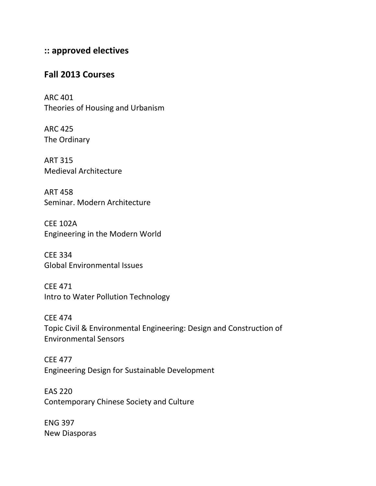## **:: approved electives**

## **Fall 2013 Courses**

ARC 401 Theories of Housing and Urbanism

ARC 425 The Ordinary

ART 315 Medieval Architecture

ART 458 Seminar. Modern Architecture

CEE 102A Engineering in the Modern World

CEE 334 Global Environmental Issues

CEE 471 Intro to Water Pollution Technology

CEE 474 Topic Civil & Environmental Engineering: Design and Construction of Environmental Sensors

CEE 477 Engineering Design for Sustainable Development

EAS 220 Contemporary Chinese Society and Culture

ENG 397 New Diasporas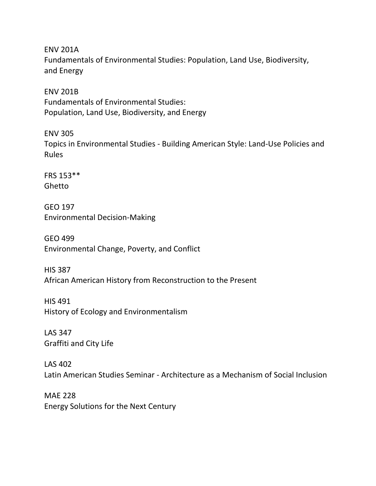ENV 201A Fundamentals of Environmental Studies: Population, Land Use, Biodiversity, and Energy

ENV 201B Fundamentals of Environmental Studies: Population, Land Use, Biodiversity, and Energy

ENV 305 Topics in Environmental Studies - Building American Style: Land-Use Policies and Rules

FRS 153\*\* Ghetto

GEO 197 Environmental Decision-Making

GEO 499 Environmental Change, Poverty, and Conflict

HIS 387 African American History from Reconstruction to the Present

HIS 491 History of Ecology and Environmentalism

LAS 347 Graffiti and City Life

LAS 402 Latin American Studies Seminar - Architecture as a Mechanism of Social Inclusion

MAE 228 Energy Solutions for the Next Century